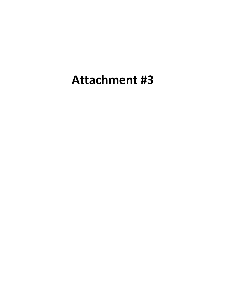# **Attachment #3**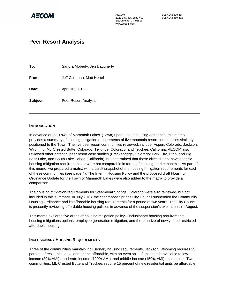

AECOM 916.414.5800 tel<br>2020 L Street, Suite 400 916.414.5850 fax 2020 L Street, Suite 400 Sacramento, CA 95811 www.aecom.com

### **Peer Resort Analysis**

**To:** Sandra Moberly, Jen Daugherty **From:** Jeff Goldman, Matt Hertel **Date:** April 16, 2015 **Subject:** Peer Resort Analysis

#### **INTRODUCTION**

In advance of the Town of Mammoth Lakes' (Town) update to its housing ordinance, this memo provides a summary of housing mitigation requirements of five mountain resort communities similarly positioned to the Town. The five peer resort communities reviewed, include: Aspen, Colorado; Jackson, Wyoming; Mt. Crested Butte, Colorado; Telluride, Colorado; and Truckee, California. AECOM also reviewed other potential peer resort case studies (Breckenridge, Colorado; Park City, Utah; and Big Bear Lake, and South Lake Tahoe, California), but determined that these cities did not have specific housing mitigation requirements or were not comparable in terms of housing market context. As part of this memo, we prepared a matrix with a quick snapshot of the housing mitigation requirements for each of these communities (see page 4). The Interim Housing Policy and the proposed draft Housing Ordinance Update for the Town of Mammoth Lakes were also added to the matrix to provide a comparison.

The housing mitigation requirements for Steamboat Springs, Colorado were also reviewed, but not included in this summary. In July 2013, the Steamboat Springs City Council suspended the Community Housing Ordinance and its affordable housing requirements for a period of two years. The City Council is presently reviewing affordable housing policies in advance of the suspension's expiration this August.

This memo explores five areas of housing mitigation policy—inclusionary housing requirements, housing mitigations options, employee generation mitigation, and the unit size of newly deed restricted affordable housing.

#### **INCLUSIONARY HOUSING REQUIREMENTS**

Three of the communities maintain inclusionary housing requirements. Jackson, Wyoming requires 25 percent of residential development be affordable, with an even split of units made available to lowincome (80% AMI), moderate-income (120% AMI), and middle-income (150% AMI) households. Two communities, Mt. Crested Butte and Truckee, require 15 percent of new residential units be affordable.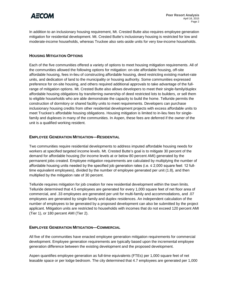

In addition to an inclusionary housing requirement, Mt. Crested Butte also requires employee generation mitigation for residential development. Mt. Crested Butte's inclusionary housing is restricted for low and moderate-income households, whereas Truckee also sets-aside units for very low-income households.

#### **HOUSING MITIGATION OPTIONS**

Each of the five communities offered a variety of options to meet housing mitigation requirements. All of the communities allowed the following options for mitigation: on-site affordable housing, off-site affordable housing, fees in-lieu of constructing affordable housing, deed restricting existing market-rate units, and dedication of land to the municipality or housing authority. Some communities expressed preference for on-site housing, and others required additional approvals to take advantage of the fullrange of mitigation options. Mt. Crested Butte also allows developers to meet their single-family/duplex affordable housing obligations by transferring ownership of deed restricted lots to builders, or sell them to eligible households who are able demonstrate the capacity to build the home. Telluride permits the construction of dormitory or shared facility units to meet requirements. Developers can purchase inclusionary housing credits from other residential development projects with excess affordable units to meet Truckee's affordable housing obligations. Housing mitigation is limited to in-lieu fees for singlefamily and duplexes in many of the communities. In Aspen, these fees are deferred if the owner of the unit is a qualified working resident.

#### **EMPLOYEE GENERATION MITIGATION—RESIDENTIAL**

Two communities require residential developments to address imputed affordable housing needs for workers at specified targeted income levels. Mt. Crested Butte's goal is to mitigate 30 percent of the demand for affordable housing (for income levels at or below 80 percent AMI) generated by the permanent jobs created. Employee mitigation requirements are calculated by multiplying the number of affordable housing units needed by the specified job generation rates (i.e.  $\leq 2,000$  square feet: 12 fulltime equivalent employees), divided by the number of employee generated per unit (1.8), and then multiplied by the mitigation rate of 30 percent.

Telluride requires mitigation for job creation for new residential development within the town limits. Telluride determined that 4.5 employees are generated for every 1,000 square feet of net floor area of commercial, and .33 employees are generated per unit for multi-family and accommodations, and .07 employees are generated by single-family and duplex residences. An independent calculation of the number of employees to be generated by a proposed development can also be submitted by the project applicant. Mitigation units are restricted to households with incomes that do not exceed 120 percent AMI (Tier 1), or 180 percent AMI (Tier 2).

#### **EMPLOYEE GENERATION MITIGATION—COMMERCIAL**

All five of the communities have enacted employee generation mitigation requirements for commercial development. Employee generation requirements are typically based upon the incremental employee generation difference between the existing development and the proposed development.

Aspen quantifies employee generation as full-time equivalents (FTEs) per 1,000 square feet of net leasable space or per lodge bedroom. The city determined that 4.7 employees are generated per 1,000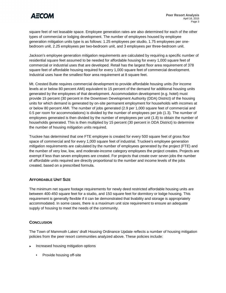

square feet of net leasable space. Employee generation rates are also determined for each of the other types of commercial or lodging development. The number of employees housed by employee generation mitigation units type is as follows: 1.25 employees per studio, 1.75 employees per onebedroom unit, 2.25 employees per two-bedroom unit, and 3 employees per three-bedroom unit.

Jackson's employee generation mitigation requirements are calculated by requiring a specific number of residential square feet assumed to be needed for affordable housing for every 1,000 square feet of commercial or industrial uses that are developed. Retail has the largest floor area requirement of 378 square feet of affordable housing required for every 1,000 square feet of commercial development. Industrial uses have the smallest floor area requirement at 8 square feet.

Mt. Crested Butte requires commercial development to provide affordable housing units (for income levels at or below 80 percent AMI) equivalent to 15 percent of the demand for additional housing units generated by the employees of that development. Accommodation development (e.g. hotel) must provide 15 percent (30 percent in the Downtown Development Authority (DDA) District) of the housing units for which demand is generated by on-site permanent employment for households with incomes at or below 80 percent AMI. The number of jobs generated (2.9 per 1,000 square feet of commercial and 0.5 per room for accommodations) is divided by the number of employees per job (1.3). The number of employees generated is then divided by the number of employees per unit (1.8) to obtain the number of households generated. This is then multiplied by 15 percent (30 percent in DDA District) to determine the number of housing mitigation units required.

Truckee has determined that one FTE employee is created for every 500 square feet of gross floor space of commercial and for every 1,000 square feet of industrial. Truckee's employee generation mitigation requirements are calculated by the number of employees generated by the project (FTE) and the number of very low, low, and moderate-income category employees the project creates. Projects are exempt if less than seven employees are created. For projects that create over seven jobs the number of affordable units required are directly proportional to the number and income levels of the jobs created, based on a prescribed formula.

#### **AFFORDABLE UNIT SIZE**

The minimum net square footage requirements for newly deed restricted affordable housing units are between 400-450 square feet for a studio, and 150 square feet for dormitory or lodge housing. This requirement is generally flexible if it can be demonstrated that livability and storage is appropriately accommodated. In some cases, there is a maximum unit size requirement to ensure an adequate supply of housing to meet the needs of the community.

#### **CONCLUSION**

The Town of Mammoth Lakes' draft Housing Ordinance Update reflects a number of housing mitigation policies from the peer resort communities analyzed above. These policies include:

- ► Increased housing mitigation options
	- Provide housing off-site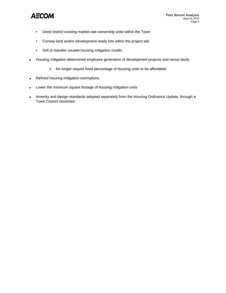

- Deed restrict existing market-rate ownership units within the Town
- Convey land and/or development-ready lots within the project site
- Sell or transfer unused housing mitigation credits
- ► Housing mitigation determined employee generation of development projects and nexus study
	- o No longer require fixed percentage of housing units to be affordable
- ► Refined housing mitigation exemptions
- ► Lower the minimum square footage of housing mitigation units
- ► Amenity and design standards adopted separately from the Housing Ordinance Update, through a Town Council resolution